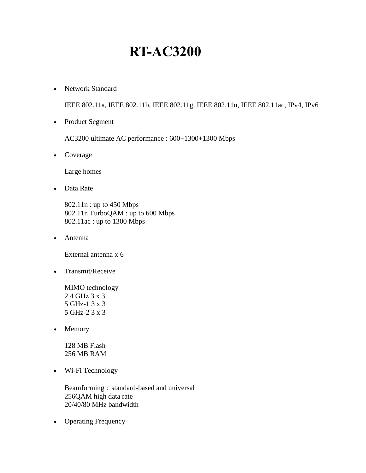# **RT-AC3200**

• Network Standard

IEEE 802.11a, IEEE 802.11b, IEEE 802.11g, IEEE 802.11n, IEEE 802.11ac, IPv4, IPv6

• Product Segment

AC3200 ultimate AC performance : 600+1300+1300 Mbps

• Coverage

Large homes

• Data Rate

802.11n : up to 450 Mbps 802.11n TurboQAM : up to 600 Mbps 802.11ac : up to 1300 Mbps

Antenna

External antenna x 6

• Transmit/Receive

MIMO technology 2.4 GHz 3 x 3 5 GHz-1 3 x 3 5 GHz-2 3 x 3

• Memory

128 MB Flash 256 MB RAM

Wi-Fi Technology

Beamforming: standard-based and universal 256QAM high data rate 20/40/80 MHz bandwidth

• Operating Frequency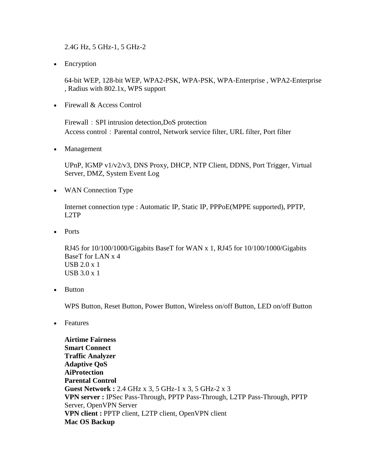2.4G Hz, 5 GHz-1, 5 GHz-2

• Encryption

64-bit WEP, 128-bit WEP, WPA2-PSK, WPA-PSK, WPA-Enterprise , WPA2-Enterprise , Radius with 802.1x, WPS support

• Firewall & Access Control

Firewall: SPI intrusion detection,DoS protection Access control: Parental control, Network service filter, URL filter, Port filter

• Management

UPnP, IGMP v1/v2/v3, DNS Proxy, DHCP, NTP Client, DDNS, Port Trigger, Virtual Server, DMZ, System Event Log

WAN Connection Type

Internet connection type : Automatic IP, Static IP, PPPoE(MPPE supported), PPTP, L2TP

• Ports

RJ45 for 10/100/1000/Gigabits BaseT for WAN x 1, RJ45 for 10/100/1000/Gigabits BaseT for LAN x 4 USB 2.0 x 1 USB 3.0 x 1

• Button

WPS Button, Reset Button, Power Button, Wireless on/off Button, LED on/off Button

• Features

**Airtime Fairness Smart Connect Traffic Analyzer Adaptive QoS AiProtection Parental Control Guest Network :** 2.4 GHz x 3, 5 GHz-1 x 3, 5 GHz-2 x 3 **VPN server :** IPSec Pass-Through, PPTP Pass-Through, L2TP Pass-Through, PPTP Server, OpenVPN Server **VPN client :** PPTP client, L2TP client, OpenVPN client **Mac OS Backup**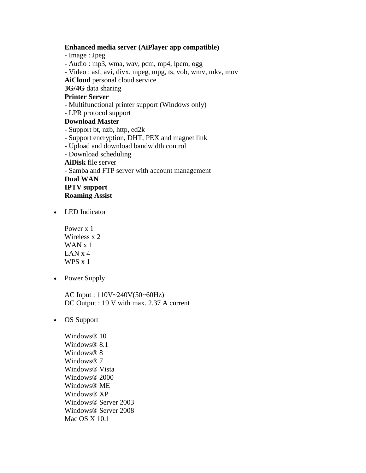#### **Enhanced media server (AiPlayer app compatible)**

- Image : Jpeg

- Audio : mp3, wma, wav, pcm, mp4, lpcm, ogg

- Video : asf, avi, divx, mpeg, mpg, ts, vob, wmv, mkv, mov

**AiCloud** personal cloud service

## **3G/4G** data sharing

### **Printer Server**

- Multifunctional printer support (Windows only)
- LPR protocol support

#### **Download Master**

- Support bt, nzb, http, ed2k
- Support encryption, DHT, PEX and magnet link
- Upload and download bandwidth control
- Download scheduling

**AiDisk** file server

- Samba and FTP server with account management **Dual WAN**

**IPTV support**

- **Roaming Assist**
- LED Indicator

Power x 1 Wireless x 2 WAN x 1 LAN x 4 WPS x 1

• Power Supply

AC Input : 110V~240V(50~60Hz) DC Output : 19 V with max. 2.37 A current

OS Support

Windows<sup>®</sup> 10 Windows® 8.1 Windows® 8 Windows® 7 Windows® Vista Windows® 2000 Windows® ME Windows® XP Windows® Server 2003 Windows® Server 2008 Mac OS X 10.1